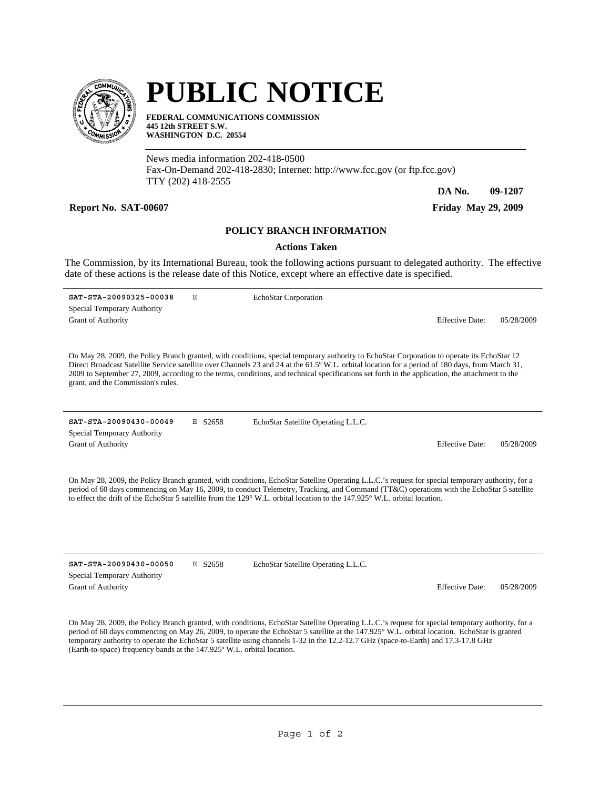

## **PUBLIC NOTICE**

**FEDERAL COMMUNICATIONS COMMISSION 445 12th STREET S.W. WASHINGTON D.C. 20554**

News media information 202-418-0500 Fax-On-Demand 202-418-2830; Internet: http://www.fcc.gov (or ftp.fcc.gov) TTY (202) 418-2555

**Report No. SAT-00607 Friday May 29, 2009** 

**DA No. 09-1207**

## **POLICY BRANCH INFORMATION**

## **Actions Taken**

The Commission, by its International Bureau, took the following actions pursuant to delegated authority. The effective date of these actions is the release date of this Notice, except where an effective date is specified.

**SAT-STA-20090325-00038** E Grant of Authority **Effective Date:** 05/28/2009 Special Temporary Authority EchoStar Corporation

On May 28, 2009, the Policy Branch granted, with conditions, special temporary authority to EchoStar Corporation to operate its EchoStar 12 Direct Broadcast Satellite Service satellite over Channels 23 and 24 at the 61.5º W.L. orbital location for a period of 180 days, from March 31, 2009 to September 27, 2009, according to the terms, conditions, and technical specifications set forth in the application, the attachment to the grant, and the Commission's rules.

**SAT-STA-20090430-00049** E S2658 Grant of Authority Effective Date: 05/28/2009 Special Temporary Authority

EchoStar Satellite Operating L.L.C.

On May 28, 2009, the Policy Branch granted, with conditions, EchoStar Satellite Operating L.L.C.'s request for special temporary authority, for a period of 60 days commencing on May 16, 2009, to conduct Telemetry, Tracking, and Command (TT&C) operations with the EchoStar 5 satellite to effect the drift of the EchoStar 5 satellite from the 129° W.L. orbital location to the 147.925° W.L. orbital location.

**SAT-STA-20090430-00050** E S2658 Special Temporary Authority

EchoStar Satellite Operating L.L.C.

Grant of Authority Effective Date: 05/28/2009

On May 28, 2009, the Policy Branch granted, with conditions, EchoStar Satellite Operating L.L.C.'s request for special temporary authority, for a period of 60 days commencing on May 26, 2009, to operate the EchoStar 5 satellite at the 147.925° W.L. orbital location. EchoStar is granted temporary authority to operate the EchoStar 5 satellite using channels 1-32 in the 12.2-12.7 GHz (space-to-Earth) and 17.3-17.8 GHz (Earth-to-space) frequency bands at the 147.925º W.L. orbital location.